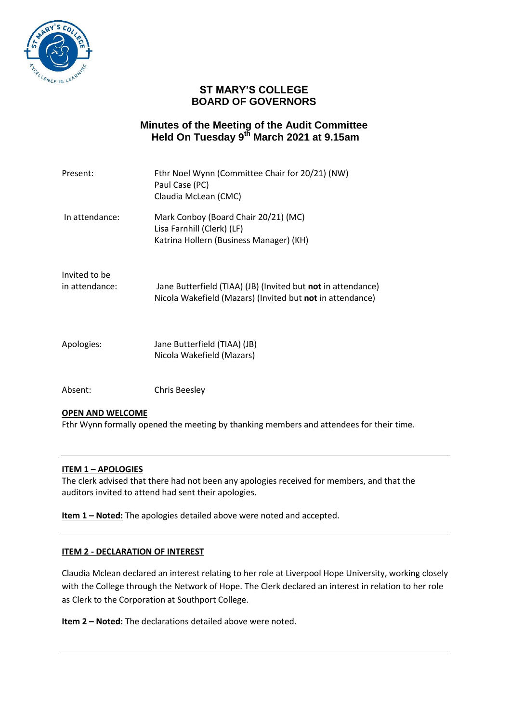

# **ST MARY'S COLLEGE BOARD OF GOVERNORS**

## **Minutes of the Meeting of the Audit Committee Held On Tuesday 9 th March 2021 at 9.15am**

| Present:                        | Fthr Noel Wynn (Committee Chair for 20/21) (NW)<br>Paul Case (PC)<br>Claudia McLean (CMC)                                 |
|---------------------------------|---------------------------------------------------------------------------------------------------------------------------|
| In attendance:                  | Mark Conboy (Board Chair 20/21) (MC)<br>Lisa Farnhill (Clerk) (LF)<br>Katrina Hollern (Business Manager) (KH)             |
| Invited to be<br>in attendance: | Jane Butterfield (TIAA) (JB) (Invited but not in attendance)<br>Nicola Wakefield (Mazars) (Invited but not in attendance) |
| Apologies:                      | Jane Butterfield (TIAA) (JB)<br>Nicola Wakefield (Mazars)                                                                 |
| Absent:                         | <b>Chris Beesley</b>                                                                                                      |

## **OPEN AND WELCOME**

Fthr Wynn formally opened the meeting by thanking members and attendees for their time.

#### **ITEM 1 – APOLOGIES**

The clerk advised that there had not been any apologies received for members, and that the auditors invited to attend had sent their apologies.

**Item 1 - Noted:** The apologies detailed above were noted and accepted.

#### **ITEM 2 - DECLARATION OF INTEREST**

Claudia Mclean declared an interest relating to her role at Liverpool Hope University, working closely with the College through the Network of Hope. The Clerk declared an interest in relation to her role as Clerk to the Corporation at Southport College.

**Item 2 – Noted:** The declarations detailed above were noted.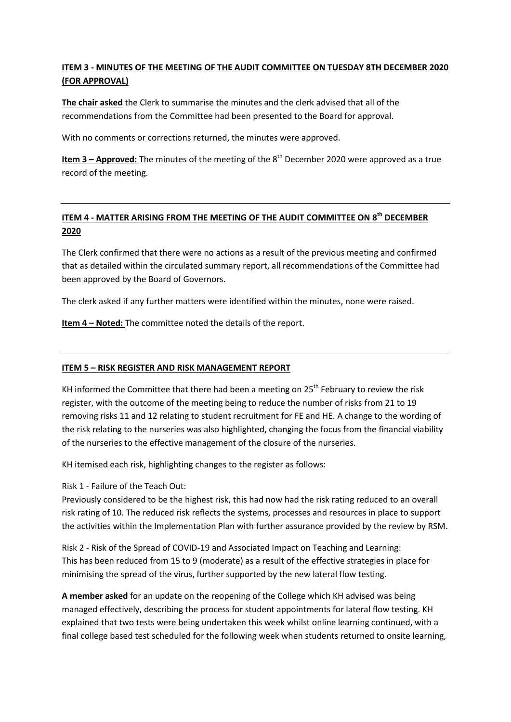## **ITEM 3 - MINUTES OF THE MEETING OF THE AUDIT COMMITTEE ON TUESDAY 8TH DECEMBER 2020 (FOR APPROVAL)**

**The chair asked** the Clerk to summarise the minutes and the clerk advised that all of the recommendations from the Committee had been presented to the Board for approval.

With no comments or corrections returned, the minutes were approved.

**Item 3 – Approved:** The minutes of the meeting of the 8<sup>th</sup> December 2020 were approved as a true record of the meeting.

# **ITEM 4 - MATTER ARISING FROM THE MEETING OF THE AUDIT COMMITTEE ON 8 th DECEMBER 2020**

The Clerk confirmed that there were no actions as a result of the previous meeting and confirmed that as detailed within the circulated summary report, all recommendations of the Committee had been approved by the Board of Governors.

The clerk asked if any further matters were identified within the minutes, none were raised.

**Item 4 – Noted:** The committee noted the details of the report.

## **ITEM 5 – RISK REGISTER AND RISK MANAGEMENT REPORT**

KH informed the Committee that there had been a meeting on  $25<sup>th</sup>$  February to review the risk register, with the outcome of the meeting being to reduce the number of risks from 21 to 19 removing risks 11 and 12 relating to student recruitment for FE and HE. A change to the wording of the risk relating to the nurseries was also highlighted, changing the focus from the financial viability of the nurseries to the effective management of the closure of the nurseries.

KH itemised each risk, highlighting changes to the register as follows:

Risk 1 - Failure of the Teach Out:

Previously considered to be the highest risk, this had now had the risk rating reduced to an overall risk rating of 10. The reduced risk reflects the systems, processes and resources in place to support the activities within the Implementation Plan with further assurance provided by the review by RSM.

Risk 2 - Risk of the Spread of COVID-19 and Associated Impact on Teaching and Learning: This has been reduced from 15 to 9 (moderate) as a result of the effective strategies in place for minimising the spread of the virus, further supported by the new lateral flow testing.

**A member asked** for an update on the reopening of the College which KH advised was being managed effectively, describing the process for student appointments for lateral flow testing. KH explained that two tests were being undertaken this week whilst online learning continued, with a final college based test scheduled for the following week when students returned to onsite learning,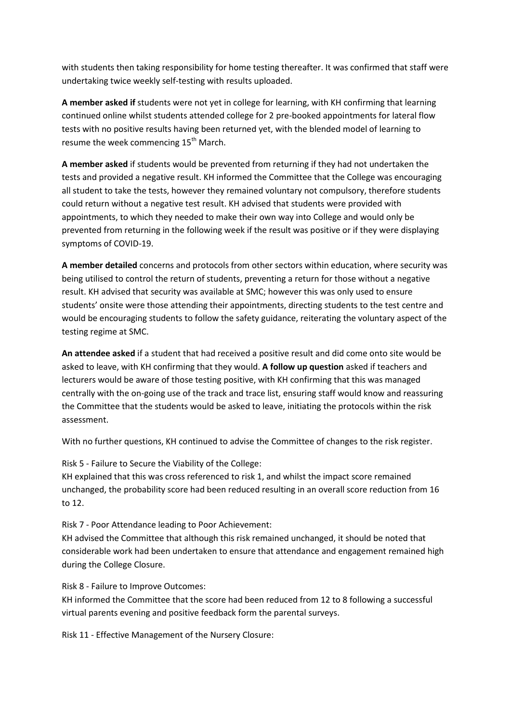with students then taking responsibility for home testing thereafter. It was confirmed that staff were undertaking twice weekly self-testing with results uploaded.

**A member asked if** students were not yet in college for learning, with KH confirming that learning continued online whilst students attended college for 2 pre-booked appointments for lateral flow tests with no positive results having been returned yet, with the blended model of learning to resume the week commencing  $15<sup>th</sup>$  March.

**A member asked** if students would be prevented from returning if they had not undertaken the tests and provided a negative result. KH informed the Committee that the College was encouraging all student to take the tests, however they remained voluntary not compulsory, therefore students could return without a negative test result. KH advised that students were provided with appointments, to which they needed to make their own way into College and would only be prevented from returning in the following week if the result was positive or if they were displaying symptoms of COVID-19.

**A member detailed** concerns and protocols from other sectors within education, where security was being utilised to control the return of students, preventing a return for those without a negative result. KH advised that security was available at SMC; however this was only used to ensure students' onsite were those attending their appointments, directing students to the test centre and would be encouraging students to follow the safety guidance, reiterating the voluntary aspect of the testing regime at SMC.

**An attendee asked** if a student that had received a positive result and did come onto site would be asked to leave, with KH confirming that they would. **A follow up question** asked if teachers and lecturers would be aware of those testing positive, with KH confirming that this was managed centrally with the on-going use of the track and trace list, ensuring staff would know and reassuring the Committee that the students would be asked to leave, initiating the protocols within the risk assessment.

With no further questions, KH continued to advise the Committee of changes to the risk register.

Risk 5 - Failure to Secure the Viability of the College:

KH explained that this was cross referenced to risk 1, and whilst the impact score remained unchanged, the probability score had been reduced resulting in an overall score reduction from 16 to 12.

Risk 7 - Poor Attendance leading to Poor Achievement:

KH advised the Committee that although this risk remained unchanged, it should be noted that considerable work had been undertaken to ensure that attendance and engagement remained high during the College Closure.

Risk 8 - Failure to Improve Outcomes:

KH informed the Committee that the score had been reduced from 12 to 8 following a successful virtual parents evening and positive feedback form the parental surveys.

Risk 11 - Effective Management of the Nursery Closure: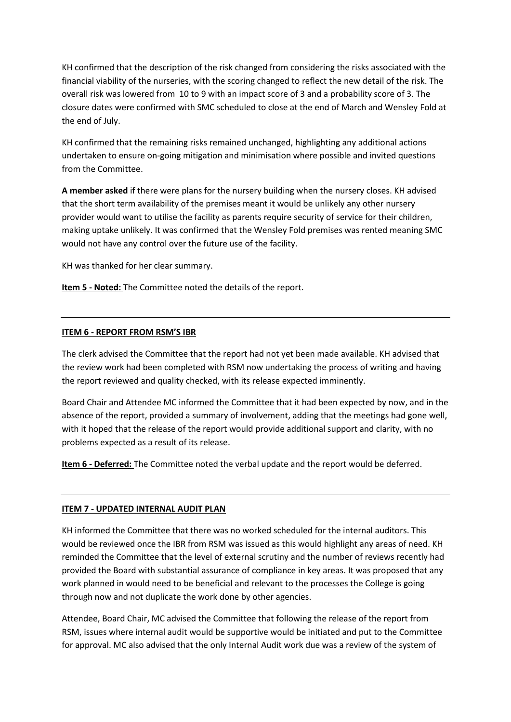KH confirmed that the description of the risk changed from considering the risks associated with the financial viability of the nurseries, with the scoring changed to reflect the new detail of the risk. The overall risk was lowered from 10 to 9 with an impact score of 3 and a probability score of 3. The closure dates were confirmed with SMC scheduled to close at the end of March and Wensley Fold at the end of July.

KH confirmed that the remaining risks remained unchanged, highlighting any additional actions undertaken to ensure on-going mitigation and minimisation where possible and invited questions from the Committee.

**A member asked** if there were plans for the nursery building when the nursery closes. KH advised that the short term availability of the premises meant it would be unlikely any other nursery provider would want to utilise the facility as parents require security of service for their children, making uptake unlikely. It was confirmed that the Wensley Fold premises was rented meaning SMC would not have any control over the future use of the facility.

KH was thanked for her clear summary.

**Item 5 - Noted:** The Committee noted the details of the report.

#### **ITEM 6 - REPORT FROM RSM'S IBR**

The clerk advised the Committee that the report had not yet been made available. KH advised that the review work had been completed with RSM now undertaking the process of writing and having the report reviewed and quality checked, with its release expected imminently.

Board Chair and Attendee MC informed the Committee that it had been expected by now, and in the absence of the report, provided a summary of involvement, adding that the meetings had gone well, with it hoped that the release of the report would provide additional support and clarity, with no problems expected as a result of its release.

**Item 6 - Deferred:** The Committee noted the verbal update and the report would be deferred.

## **ITEM 7 - UPDATED INTERNAL AUDIT PLAN**

KH informed the Committee that there was no worked scheduled for the internal auditors. This would be reviewed once the IBR from RSM was issued as this would highlight any areas of need. KH reminded the Committee that the level of external scrutiny and the number of reviews recently had provided the Board with substantial assurance of compliance in key areas. It was proposed that any work planned in would need to be beneficial and relevant to the processes the College is going through now and not duplicate the work done by other agencies.

Attendee, Board Chair, MC advised the Committee that following the release of the report from RSM, issues where internal audit would be supportive would be initiated and put to the Committee for approval. MC also advised that the only Internal Audit work due was a review of the system of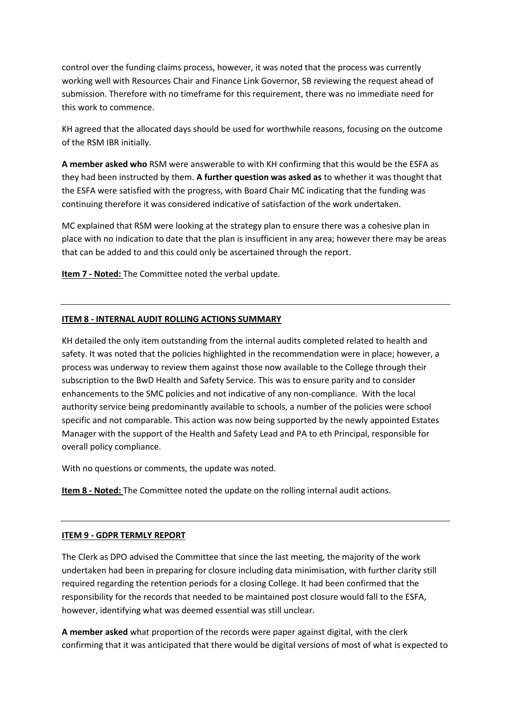control over the funding claims process, however, it was noted that the process was currently working well with Resources Chair and Finance Link Governor, SB reviewing the request ahead of submission. Therefore with no timeframe for this requirement, there was no immediate need for this work to commence.

KH agreed that the allocated days should be used for worthwhile reasons, focusing on the outcome of the RSM IBR initially.

**A member asked who** RSM were answerable to with KH confirming that this would be the ESFA as they had been instructed by them. **A further question was asked as** to whether it was thought that the ESFA were satisfied with the progress, with Board Chair MC indicating that the funding was continuing therefore it was considered indicative of satisfaction of the work undertaken.

MC explained that RSM were looking at the strategy plan to ensure there was a cohesive plan in place with no indication to date that the plan is insufficient in any area; however there may be areas that can be added to and this could only be ascertained through the report.

**Item 7 - Noted:** The Committee noted the verbal update.

#### **ITEM 8 - INTERNAL AUDIT ROLLING ACTIONS SUMMARY**

KH detailed the only item outstanding from the internal audits completed related to health and safety. It was noted that the policies highlighted in the recommendation were in place; however, a process was underway to review them against those now available to the College through their subscription to the BwD Health and Safety Service. This was to ensure parity and to consider enhancements to the SMC policies and not indicative of any non-compliance. With the local authority service being predominantly available to schools, a number of the policies were school specific and not comparable. This action was now being supported by the newly appointed Estates Manager with the support of the Health and Safety Lead and PA to eth Principal, responsible for overall policy compliance.

With no questions or comments, the update was noted.

**Item 8 - Noted:** The Committee noted the update on the rolling internal audit actions.

#### **ITEM 9 - GDPR TERMLY REPORT**

The Clerk as DPO advised the Committee that since the last meeting, the majority of the work undertaken had been in preparing for closure including data minimisation, with further clarity still required regarding the retention periods for a closing College. It had been confirmed that the responsibility for the records that needed to be maintained post closure would fall to the ESFA, however, identifying what was deemed essential was still unclear.

**A member asked** what proportion of the records were paper against digital, with the clerk confirming that it was anticipated that there would be digital versions of most of what is expected to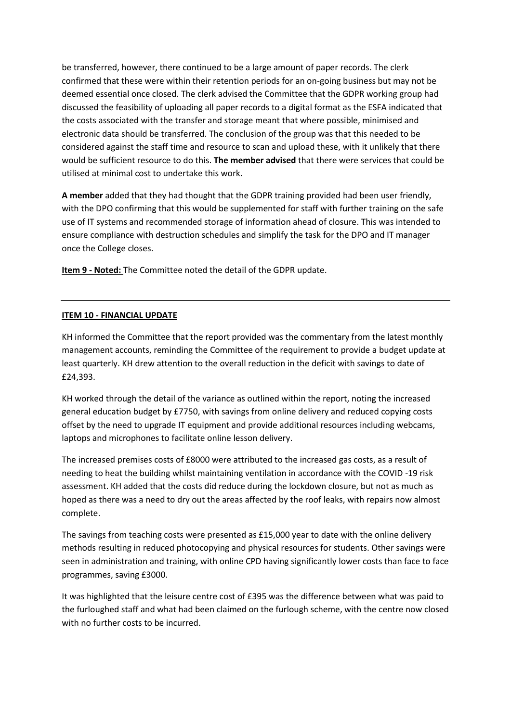be transferred, however, there continued to be a large amount of paper records. The clerk confirmed that these were within their retention periods for an on-going business but may not be deemed essential once closed. The clerk advised the Committee that the GDPR working group had discussed the feasibility of uploading all paper records to a digital format as the ESFA indicated that the costs associated with the transfer and storage meant that where possible, minimised and electronic data should be transferred. The conclusion of the group was that this needed to be considered against the staff time and resource to scan and upload these, with it unlikely that there would be sufficient resource to do this. **The member advised** that there were services that could be utilised at minimal cost to undertake this work.

**A member** added that they had thought that the GDPR training provided had been user friendly, with the DPO confirming that this would be supplemented for staff with further training on the safe use of IT systems and recommended storage of information ahead of closure. This was intended to ensure compliance with destruction schedules and simplify the task for the DPO and IT manager once the College closes.

**Item 9 - Noted:** The Committee noted the detail of the GDPR update.

## **ITEM 10 - FINANCIAL UPDATE**

KH informed the Committee that the report provided was the commentary from the latest monthly management accounts, reminding the Committee of the requirement to provide a budget update at least quarterly. KH drew attention to the overall reduction in the deficit with savings to date of £24,393.

KH worked through the detail of the variance as outlined within the report, noting the increased general education budget by £7750, with savings from online delivery and reduced copying costs offset by the need to upgrade IT equipment and provide additional resources including webcams, laptops and microphones to facilitate online lesson delivery.

The increased premises costs of £8000 were attributed to the increased gas costs, as a result of needing to heat the building whilst maintaining ventilation in accordance with the COVID -19 risk assessment. KH added that the costs did reduce during the lockdown closure, but not as much as hoped as there was a need to dry out the areas affected by the roof leaks, with repairs now almost complete.

The savings from teaching costs were presented as £15,000 year to date with the online delivery methods resulting in reduced photocopying and physical resources for students. Other savings were seen in administration and training, with online CPD having significantly lower costs than face to face programmes, saving £3000.

It was highlighted that the leisure centre cost of £395 was the difference between what was paid to the furloughed staff and what had been claimed on the furlough scheme, with the centre now closed with no further costs to be incurred.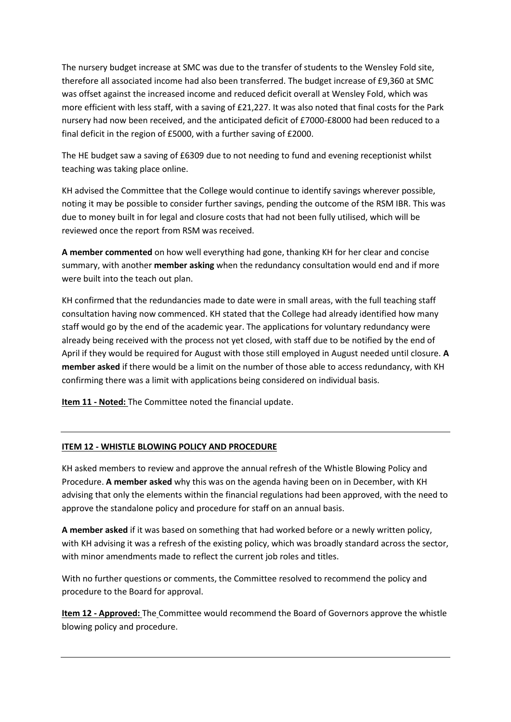The nursery budget increase at SMC was due to the transfer of students to the Wensley Fold site, therefore all associated income had also been transferred. The budget increase of £9,360 at SMC was offset against the increased income and reduced deficit overall at Wensley Fold, which was more efficient with less staff, with a saving of £21,227. It was also noted that final costs for the Park nursery had now been received, and the anticipated deficit of £7000-£8000 had been reduced to a final deficit in the region of £5000, with a further saving of £2000.

The HE budget saw a saving of £6309 due to not needing to fund and evening receptionist whilst teaching was taking place online.

KH advised the Committee that the College would continue to identify savings wherever possible, noting it may be possible to consider further savings, pending the outcome of the RSM IBR. This was due to money built in for legal and closure costs that had not been fully utilised, which will be reviewed once the report from RSM was received.

**A member commented** on how well everything had gone, thanking KH for her clear and concise summary, with another **member asking** when the redundancy consultation would end and if more were built into the teach out plan.

KH confirmed that the redundancies made to date were in small areas, with the full teaching staff consultation having now commenced. KH stated that the College had already identified how many staff would go by the end of the academic year. The applications for voluntary redundancy were already being received with the process not yet closed, with staff due to be notified by the end of April if they would be required for August with those still employed in August needed until closure. **A member asked** if there would be a limit on the number of those able to access redundancy, with KH confirming there was a limit with applications being considered on individual basis.

**Item 11 - Noted:** The Committee noted the financial update.

## **ITEM 12 - WHISTLE BLOWING POLICY AND PROCEDURE**

KH asked members to review and approve the annual refresh of the Whistle Blowing Policy and Procedure. **A member asked** why this was on the agenda having been on in December, with KH advising that only the elements within the financial regulations had been approved, with the need to approve the standalone policy and procedure for staff on an annual basis.

**A member asked** if it was based on something that had worked before or a newly written policy, with KH advising it was a refresh of the existing policy, which was broadly standard across the sector, with minor amendments made to reflect the current job roles and titles.

With no further questions or comments, the Committee resolved to recommend the policy and procedure to the Board for approval.

**Item 12 - Approved:** The Committee would recommend the Board of Governors approve the whistle blowing policy and procedure.